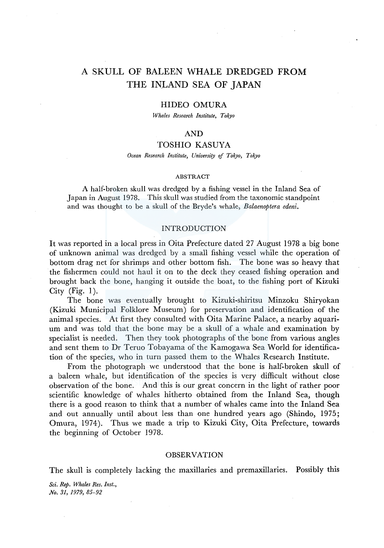# A SKULL OF BALEEN WHALE DREDGED FROM THE INLAND SEA OF JAPAN

## HIDEO OMURA

*Whales Research Institute, Tokyo* 

## AND

# TOSHIO KASUYA

*Ocean Research Institute, University* ef *Tokyo, Tokyo* 

### ABSTRACT

A half-broken skull was dredged by a fishing vessel in the Inland Sea of Japan in August 1978. This skull was studied from the taxonomic standpoint and was thought to be a skull of the Bryde's whale, *Balaenoptera edeni.* 

#### INTRODUCTION

It was reported in a local press in Oita Prefecture dated 27 August 1978 a big bone of unknown animal was dredged by a small fishing vessel while the operation of bottom drag net for shrimps and other bottom fish. The bone was so heavy that the fishermen could not haul it on to the deck they ceased fishing operation and brought back the bone, hanging it outside the boat, to the fishing port of Kizuki City  $(Fig. 1)$ .

The bone was eventually brought to Kizuki-shiritsu Minzoku Shiryokan (Kizuki Municipal Folklore Museum) for preservation and identification of the animal species. At first they consulted with Oita Marine Palace, a nearby aquarium and was told that the bone may be a skull of a whale and examination by specialist is needed. Then they took photographs of the bone from various angles and sent them to Dr Teruo Tobayama of the Kamogawa Sea World for identification of the species, who in turn passed them to the Whales Research Institute.

From the photograph we understood that the bone is half-broken skull of a baleen whale, but identification of the species is very difficult without close observation of the bone. And this is our great concern in the light of rather poor scientific knowledge of whales hitherto obtained from the Inland Sea, though there is a good reason to think that a number of whales came into the Inland Sea and out annually until about less than one hundred years ago (Shindo, 1975; Omura, 1974). Thus we made a trip to Kizuki City, Oita Prefecture, towards the beginning of October 1978.

### OBSERVATION

The skull is completely lacking the maxillaries and premaxillaries. Possibly this

*Sci. Rep. Whales Res. Inst., No. 31, 1979, 85-92*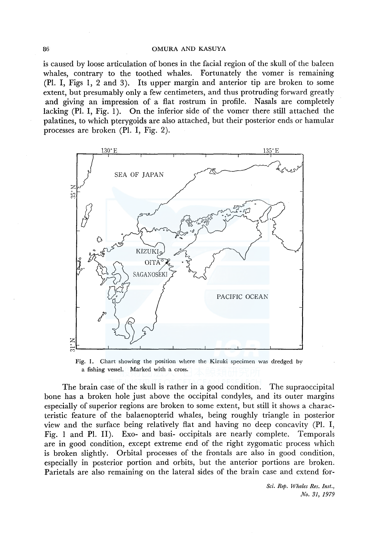is caused by loose articulation of bones in the facial region of the skull of the baleen whales, contrary to the toothed whales. Fortunately the vomer is remaining **(Pl.** I, Figs **1,** 2 and 3). Its upper margin and anterior tip are broken to some extent, but presumably only a few centimeters, and thus protruding forward greatly and giving an impression of a flat rostrum in profile. Nasals are completely lacking (Pl. I, Fig. 1). On the inferior side of the vomer there still attached the palatines, to which pterygoids are also attached, but their posterior ends or hamular processes are broken (Pl. I, Fig. 2).



Fig. I. Chart showing the position where the Kizuki specimen was dredged by a fishing vessel. Marked with a cross.

The brain case of the skull is rather in a good condition. The supraoccipital bone has a broken hole just above the occipital condyles, and its outer margins especially of superior regions are broken to some extent, but still it shows a characteristic feature of the balaenopterid whales, being roughly triangle in posterior view and the surface being relatively flat and having no deep concavity (Pl. I, Fig. 1 and **Pl.** II). Exo- and basi- occipitals are nearly complete. Temporals are in good condition, except extreme end of the right zygomatic process which is broken slightly. Orbital processes of the frontals are also in good condition, especially in posterior portion and orbits, but the anterior portions are broken. Parietals are also remaining on the lateral sides of the brain case and extend for-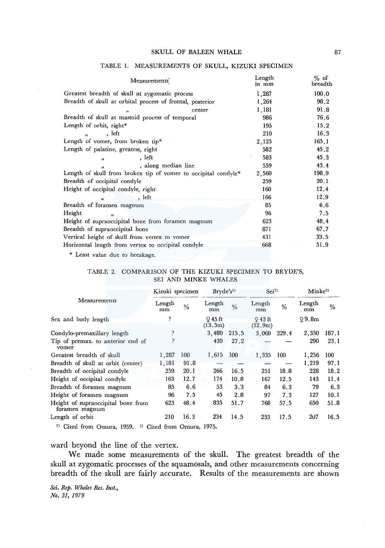#### SKULL OF BALEEN WHALE

| Measurements'                                                  | Length<br>in mm | $%$ of<br>breadth<br>100.0 |  |
|----------------------------------------------------------------|-----------------|----------------------------|--|
| Greatest breadth of skull at zygomatic process                 | 1,287           |                            |  |
| Breadth of skull at orbital process of frontal, posterior      | 1,264           | 98.2                       |  |
| center<br>,                                                    | 1,181           | 91.8                       |  |
| Breadth of skull at mastoid process of temporal                | 986             | 76.6                       |  |
| Length of orbit, right*                                        | 195             | 15.2                       |  |
| let<br>$\bullet$                                               | 210             | 16.3                       |  |
| Length of vomer, from broken tip*                              | 2,125           | 165.1                      |  |
| Length of palatine, greatest, right                            | 582             | 45.2                       |  |
| , let<br>$\overline{\mathbf{v}}$                               | 583             | 45.3                       |  |
| , along median line<br>$\overline{\mathbf{v}}$                 | 559             | 43.4                       |  |
| Length of skull from broken tip of vomer to occipital condyle* | 2,560           | 198.9                      |  |
| Breadth of occipital condyle                                   | 259             | 20.1                       |  |
| Height of occipital condyle, right                             | 160             | 12.4                       |  |
| , let<br>ă.                                                    | 166             | 12.9                       |  |
| Breadth of foramen magnum                                      | 85              | 6.6                        |  |
| Height<br>$\mathbf{v}$                                         | 96              | 7.5                        |  |
| Height of supraoccipital bone from foramen magnum              | 623             | 48.4                       |  |
| Breadth of supraoccipital bone                                 | 871             | 67.7                       |  |
| Vertical height of skull from vertex to vomer                  | 431             | 33.5                       |  |
| Horizontal length from vertex to occipital condyle             | 668             | 51.9                       |  |

#### TABLE I. MEASUREMENTS OF SKULL, KIZUKI SPECIMEN

\* Least value due to breakage.

## TABLE 2. COMPARISON OF THE KIZUKI SPECIMEN TO BRYDE'S, SEI AND MINKE WHALES

|                                                         | Kizuki specimen                                                                                                                                                                                                                                                                                                                    |               | Bryde's <sup>1)</sup> |               | Sei <sup>1</sup>    |               | Minke <sup>2</sup> |       |
|---------------------------------------------------------|------------------------------------------------------------------------------------------------------------------------------------------------------------------------------------------------------------------------------------------------------------------------------------------------------------------------------------|---------------|-----------------------|---------------|---------------------|---------------|--------------------|-------|
| Measurements                                            | Length<br>mm                                                                                                                                                                                                                                                                                                                       | $\frac{0}{6}$ | Length<br>mm          | $\frac{0}{6}$ | Length<br>mm        | $\frac{0}{6}$ | Length<br>mm       | %     |
| Sex and body length                                     | ŗ                                                                                                                                                                                                                                                                                                                                  |               | $Q$ 45 ft<br>(13.5m)  |               | $943$ ft<br>(12.9m) |               | Q9.8m              |       |
| Condylo-premaxillary length                             | ş                                                                                                                                                                                                                                                                                                                                  |               | 3,480                 | 215.5         | 3,060               | 229.4         | 2,350              | 187.1 |
| Tip of premax. to anterior end of<br>vomer              |                                                                                                                                                                                                                                                                                                                                    |               | 439                   | 27.2          |                     |               | 290                | 23.1  |
| Greatest breadth of skull                               | 1,287                                                                                                                                                                                                                                                                                                                              | 100           | 1,615                 | 100           | $-1,335$            | 100           | 1.256              | 100   |
| Breadth of skull at orbit (center)                      | 1,181                                                                                                                                                                                                                                                                                                                              | 91.8          |                       |               |                     |               | 1,219              | 97.1  |
| Breadth of occipital condyle                            | 259                                                                                                                                                                                                                                                                                                                                | 20.1          | 266                   | 16.5          | 251                 | 18.8          | 228                | 18.2  |
| Height of occipital condyle                             | 163                                                                                                                                                                                                                                                                                                                                | 12.7          | 174                   | 10.8          | 167                 | 12.5          | 143                | 11.4  |
| Breadth of foramen magnum                               | 85                                                                                                                                                                                                                                                                                                                                 | 6.6           | 53                    | 3.3           | 84                  | 6.3           | 79                 | 6.3   |
| Height of foramen magnum                                | 96                                                                                                                                                                                                                                                                                                                                 | 7.5           | 45                    | 2.8           | 97                  | 7.3           | 127                | 10.1  |
| Height of supraoccipital bone from<br>foramen magnum    | 623                                                                                                                                                                                                                                                                                                                                | 48.4          | 835                   | 51.7          | 768                 | 57.5          | 650                | 51.8  |
| Length of orbit                                         | 210                                                                                                                                                                                                                                                                                                                                | 16.3          | 234                   | 14.5          | 233                 | 17.5          | 207                | 16.5  |
| $\mathbf{v}$ and $\mathbf{v}$ and $\mathbf{v}$<br>10.50 | $\mathbf{M}$ $\mathbf{C}$ $\mathbf{C}$ $\mathbf{C}$ $\mathbf{D}$ $\mathbf{C}$ $\mathbf{C}$ $\mathbf{C}$ $\mathbf{C}$ $\mathbf{C}$ $\mathbf{C}$ $\mathbf{D}$ $\mathbf{C}$ $\mathbf{C}$ $\mathbf{D}$ $\mathbf{C}$ $\mathbf{D}$ $\mathbf{C}$ $\mathbf{D}$ $\mathbf{D}$ $\mathbf{D}$ $\mathbf{D}$ $\mathbf{D}$ $\mathbf{D}$ $\mathbf{$ |               | 1075                  |               |                     |               |                    |       |

<sup>1)</sup> Cited from Omura, 1959. <sup>2)</sup> Cited from Omura, 1975.

# ward beyond the line of the vertex.

We made some measurements of the skull. The greatest breadth of the skull at zygomatic processes of the squamosals, and other measurements concerning breadth of the skull are fairly accurate. Results of the measurements are shown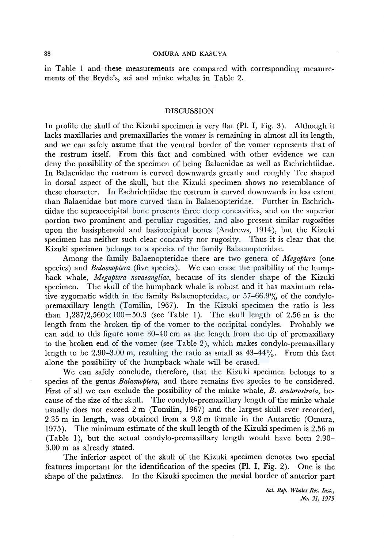in Table 1 and these measurements are compared with corresponding measurements of the Bryde's, sei and minke whales in Table 2.

### DISCUSSION

In profile the skull of the Kizuki specimen is very fiat (Pl. I, Fig. 3). Although it lacks maxillaries and premaxillaries the vomer is remaining in almost all its length, and we can safely assume that the ventral border of the vomer represents that of the rostrum itself. From this fact and combined with other evidence we can deny the possibility of the specimen of being Balaenidae as well as Eschrichtiidae. In Balaenidae the rostrum is curved downwards greatly and roughly Tee shaped in dorsal aspect of the skull, but the Kizuki specimen shows no resemblance of these character. In Eschrichtiidae the rostrum is curved downwards in less extent than Balaenidae but more curved than in Balaenopteridae. Further in Eschrichtiidae the supraoccipital bone presents three deep concavities, and on the superior portion two prominent and peculiar rugosities, and also present similar rugosities upon the basisphenoid and basioccipital bones (Andrews, 1914), but the Kizuki specimen has neither such clear concavity nor rugosity. Thus it is clear that the Kizuki specimen belongs to a species of the family Balaenopteridae.

Among the family Balaenopteridae there are two genera of *Megaptera* (one species) and *Balaenoptera* (five species). We can erase the posibility of the humpback whale, *Megaptera novaeangliae,* because of its slender shape of the Kizuki specimen. The skull of the humpback whale is robust and it has maximum relative zygomatic width in the family Balaenopteridae, or 57-66.9% of the condylopremaxillary length (Tomilin, 1967). In the Kizuki specimen the ratio is less than  $1,287/2,560\times100=50.3$  (see Table 1). The skull length of 2.56 m is the length from the broken tip of the vomer to the occipital condyles. Probably we can add to this figure some 30-40 cm as the length from the tip of premaxillary to the broken end of the vomer (see Table 2), which makes condylo-premaxillary length to be 2.90-3.00 m, resulting the ratio as small as  $43-44\%$ . From this fact alone the possibility of the humpback whale will be erased.

We can safely conclude, therefore, that the Kizuki specimen belongs to a species of the genus *Balaenoptera,* and there remains five species to be considered. First of all we can exclude the possibility of the minke whale, *B. acutorostrata,* because of the size of the skull. The condylo-premaxillary length of the minke whale usually does not exceed 2 m (Tomilin, 1967) and the largest skull ever recorded, 2.35 m in length, was obtained from a 9.8 m female in the Antarctic (Omura, 1975). The minimum estimate of the skull length of the Kizuki specimen is 2.56 m (Table 1), but the actual condylo-premaxillary length would have been 2.90- 3.00 m as already stated.

The inferior aspect of the skull of the Kizuki specimen denotes two special features important for the identification of the species (Pl. I, Fig. 2). One is the shape of the palatines. In the Kizuki specimen the mesial border of anterior part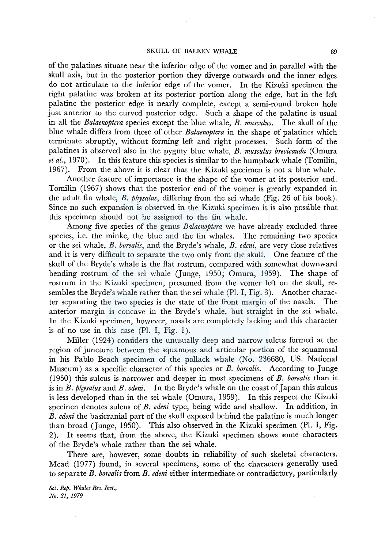#### SKULL OF BALEEN WHALE 89

of the palatines situate near the inferior edge of the vomer and in parallel with the skull axis, but in the posterior portion they diverge outwards and the inner edges do not articulate to the inferior edge of the vomer. In the Kizuki specimen the right palatine was broken at its posterior portion along the edge, but in the left palatine the posterior edge is nearly complete, except a semi-round broken hole just anterior to the curved posterior edge. Such a shape of the palatine is usual in all the *Balaenoptera* species except the blue whale, *B. musculus.* The skull of the blue whale differs from those of other *Balaenoptera* in the shape of palatines which terminate abruptly, without forming left and right processes. Such form of the palatines is observed also in the pygmy blue whale, *B. musculus brevicauda* (Omura *et al.,* 1970). In this feature this species is similar to the humpback whale (Tomilin, 1967). From the above it is clear that the Kizuki specimen is not a blue whale.

Another feature of importance is the shape of the vomer at its posterior end. Tomilin (1967) shows that the posterior end of the vomer is greatly expanded in the adult fin whale, *B. physalus,* differing from the sei whale (Fig. 26 of his book). Since no such expansion is observed in the Kizuki specimen it is also possible that this specimen should not be assigned to the fin whale.

Among five species of the genus *Balaenoptera* we have already excluded three species, i.e. the minke, the blue and the fin whales. The remaining two species or the sei whale, *B. borealis,* and the Bryde's whale, *B. edeni,* are very close relatives and it is very difficult to separate the two only from the skull. One feature of the skull of the Bryde's whale is the flat rostrum, compared with somewhat downward bending rostrum of the sei whale (Junge, 1950; Omura, 1959). The shape of rostrum in the Kizuki specimen, presumed from the vomer left on the skull, resembles the Bryde's whale rather than the sei whale (Pl. I, Fig. 3). Another character separating the two species is the state of the front margin of the nasals. The anterior margin is concave in the Bryde's whale, but straight in the sei whale. In the Kizuki specimen, however, nasals are completely lacking and this character is of no use in this case  $(Pl. I, Fig. 1)$ .

Miller (1924) considers the unusually deep and narrow sulcus formed at the region of juncture between the squamous and articular portion of the squamosal in his Pablo Beach specimen of the pollack whale (No. 236680, US. National Museum) as a specific character of this species or *B. borealis.* According to Junge (1950) this sulcus is narrower and deeper in most specimens of *B. borealis* than it is in *B. physalus* and *B. edeni.* In the Bryde's whale on the coast of Japan this sulcus is less developed than in the sei whale (Omura, 1959). In this respect the Kizuki specinen denotes sulcus of *B. edeni* type, being wide and shallow. In addition, in *B. edeni* the basicranial part of the skull exposed behind the palatine is much longer than broad (Junge, 1950). This also observed in the Kizuki specimen (Pl. I, Fig. 2). It seems that, from the above, the Kizuki specimen shows some characters of the Bryde's whale rather than the sei whale.

There are, however, some doubts in reliability of such skeletal characters. Mead (1977) found, in several specimens, some of the characters generally used to separate *B. borealis* from *B. edeni* either intermediate or contradictory, particularly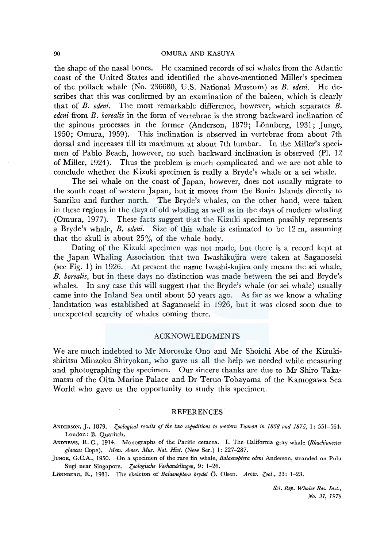the shape of the nasal bones. He examined records of sei whales from the Atlantic coast of the United States and identified the above-mentioned Miller's specimen of the pollack whale (No. 236680, U.S. National Museum) as *B. edeni.* He describes that this was confirmed by an examination of the baleen, which is clearly that of *B. edeni.* The most remarkable difference, however, which separates *B. edeni* from *B. borealis* in the form of vertebrae is the strong backward inclination of the spinous processes in the former (Anderson, 1879; Lönnberg, 1931; Junge, 1950; Omura, 1959). This inclination is observed in vertebrae from about 7th dorsal and increases till its maximum at about 7th lumbar. In the Miller's specimen of Pablo Beach, however, no such backward inclination is observed (Pl. 12 of Miller, 1924). Thus the problem is much complicated and we are not able to conclude whether the Kizuki specimen is really a Bryde's whale or a sei whale.

The sei whale on the coast of Japan, however, does not usually migrate to the south coast of western Japan, but it moves from the Bonin Islands directly to Sanriku and further north. The Bryde's whales, on the other hand, were taken in these regions in the days of old whaling as well as in the days of modern whaling (Omura, 1977). These facts suggest that the Kizuki specimen possibly represents a Bryde's whale, *B. edeni.* Size of this whale is estimated to be 12 m, assuming that the skull is about  $25\%$  of the whale body.

Dating of the Kizuki specimen was not made, but there is a record kept at the Japan Whaling Association that two Iwashikujira were taken at Saganoseki (see Fig. 1) in 1926. At present the name Iwashi-kujira only means the sei whale, *B. borealis,* but in these days no distinction was made between the sei and Bryde's whales. In any case this will suggest that the Bryde's whale (or sei whale) usually came into the Inland Sea until about 50 years ago. As far as we know a whaling . landstation was established at Saganoseki in 1926, but it was closed soon due to unexpected scarcity of whales coming there.

## ACKNOWLEDGMENTS

We are much indebted to Mr Morosuke Ono and Mr Shoichi Abe of the Kizukishiritsu Minzoku Shiryokan, who gave us all the help we needed while measuring and photographing the specimen. Our sincere thanks are due to Mr Shiro Takamatsu of the Oita Marine Palace and Dr Teruo Tobayama of the Kamogawa Sea World who gave us the opportunity to study this specimen.

## **REFERENCES**

ANDERSON, J., 1879. *Zoological results of the two expeditions to western Yunnan in 1868 and 1875*, 1: 551-564. London: B. Quaritch.

ANDREWS, R. C., 1914. Monographs of the Pacific cetacea. I. The California gray whale *(Rhachianectes glaucus* Cope). *Mem. Amer. Mus. Nat. Hist.* (New Ser.) 1: 227-287.

JUNGE, G.C.A., 1950. On a specimen of the rare fin whale, *Balaenoptera edeni* Anderson, stranded on Pulu Sugi near Singapore. *Zoologische Verhandelingen*, 9: 1-26.

LÖNNBERG, E., 1931. The skeleton of *Balaenoptera brydei* Ö. Olsen. Arkiv. Zool., 23: 1-23.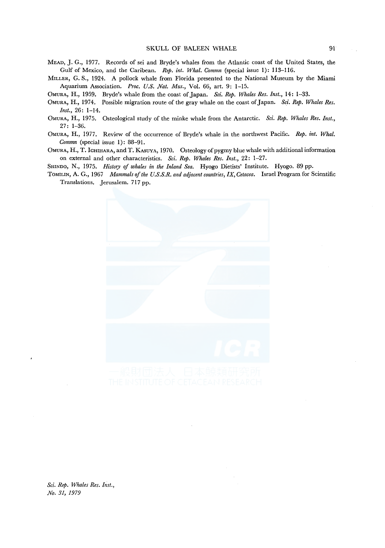- MEAD, J. G., 1977. Records of sei and Bryqe's whales from the Atlantic coast of the United States, the Gulf of Mexico, and the Caribean. *Rep. int. Whal. Commn* (special issue 1): 113-116.
- MILLER, G. S., 1924. A pollock whale from Florida presented to the National Museum by the Miami Aquarium Association. Proc. U.S. Nat. Mus., Vol. 66, art. 9: 1-15.
- OMURA, H., 1959. Bryde's whale from the coast of Japan. *Sci. Rep. Whales Res. Inst.,* 14: 1-33.
- OMURA, H., 1974. Possible migration route of the gray whale on the coast of Japan. *Sci. Rep. Whales Res. Inst.,* 26: 1-14.
- OMURA, H., 1975. Osteological study of the minke whale from the Antarctic. *Sci. Rep. Whales Res. Inst.,*  27: 1-36.
- OMURA, H., 1977. Review of the occurrence of Bryde's whale in the northwest Pacific. *Rep. int. Whal. Commn* (special issue 1): 88-91.
- OMURA, H., T. lcHIHARA, and T. KASUYA, 1970. Osteology of pygmy blue whale with additional information on external and other characteristics. *Sci. Rep. Whales Res. Inst.,* 22: 1-27.
- SHINDO, N., 1975. *History of whales in the Inland Sea.* Hyogo Dietists' Institute. Hyogo. 89 pp.
- ToMILIN, A. G., 1967 *Mammals of the U.S.S.R. and adjacent countries, IX, Cetacea.* Israel Program for Scientific Translations. Jerusalem. 717 pp.

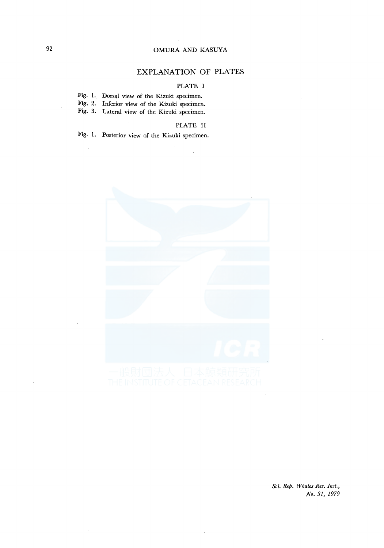# EXPLANATION OF PLATES

# PLATE I

|  |  |  |  |  |  |  | Fig. 1. Dorsal view of the Kizuki specimen. |
|--|--|--|--|--|--|--|---------------------------------------------|
|--|--|--|--|--|--|--|---------------------------------------------|

- Fig. 2. Inferior view of the Kizuki specimen.
- Fig. 3. Lateral view of the Kizuki specimen.

# PLATE II

Fig. I. Posterior view of the Kizuki specimen.

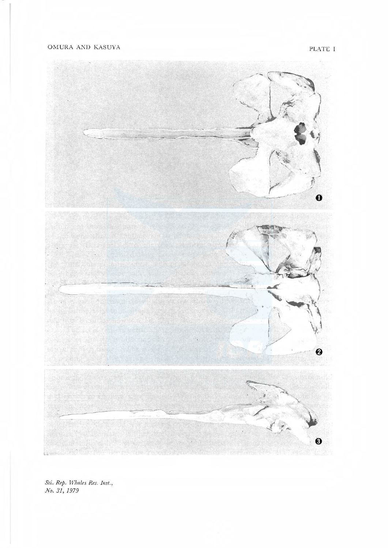PLATE I



No. 31, 1979 Sci. Rep. Whales Res. Inst.,